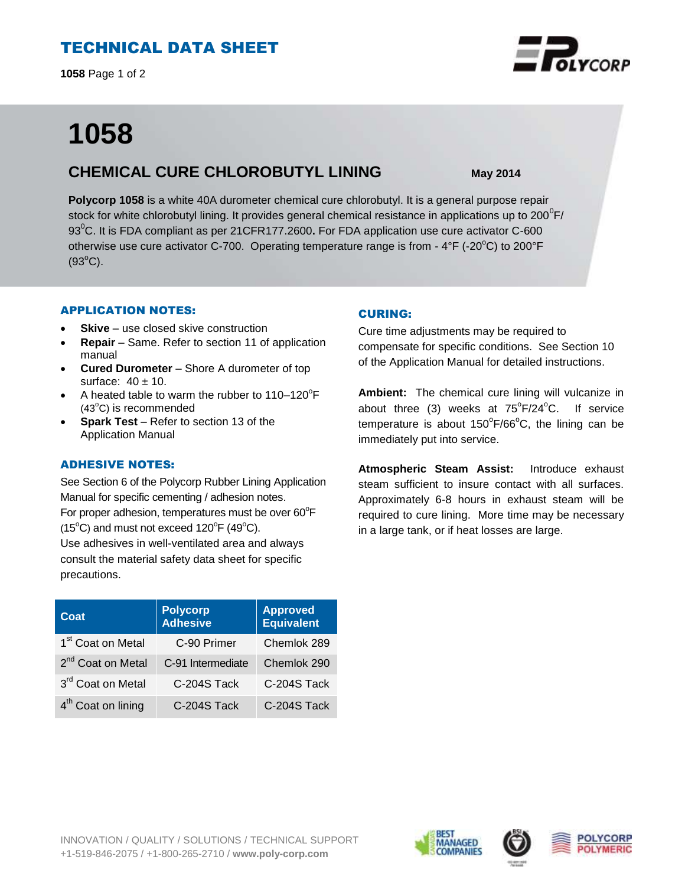# TECHNICAL DATA SHEET

**1058** Page 1 of 2

# **1058**

# **CHEMICAL CURE CHLOROBUTYL LINING May 2014**

**Polycorp 1058** is a white 40A durometer chemical cure chlorobutyl. It is a general purpose repair stock for white chlorobutyl lining. It provides general chemical resistance in applications up to 200 $^0$ F/ 93<sup>o</sup>C. It is FDA compliant as per 21CFR177.2600. For FDA application use cure activator C-600 otherwise use cure activator C-700. Operating temperature range is from -  $4^{\circ}F$  (-20 $^{\circ}C$ ) to 200 $^{\circ}F$  $(93^{\circ}C)$ .

### APPLICATION NOTES:

- **Skive** use closed skive construction
- **Repair**  Same. Refer to section 11 of application manual
- **Cured Durometer** Shore A durometer of top surface:  $40 \pm 10$ .
- A heated table to warm the rubber to  $110-120^{\circ}F$  $(43^{\circ}C)$  is recommended
- **Spark Test** Refer to section 13 of the Application Manual

## ADHESIVE NOTES:

precautions.

See Section 6 of the Polycorp Rubber Lining Application Manual for specific cementing / adhesion notes. For proper adhesion, temperatures must be over  $60^{\circ}$ F  $(15^{\circ}C)$  and must not exceed  $120^{\circ}F(49^{\circ}C)$ . Use adhesives in well-ventilated area and always consult the material safety data sheet for specific

| Coat                           | <b>Polycorp</b><br><b>Adhesive</b> | <b>Approved</b><br><b>Equivalent</b> |
|--------------------------------|------------------------------------|--------------------------------------|
| 1 <sup>st</sup> Coat on Metal  | C-90 Primer                        | Chemlok 289                          |
| 2 <sup>nd</sup> Coat on Metal  | C-91 Intermediate                  | Chemlok 290                          |
| 3rd Coat on Metal              | C-204S Tack                        | C-204S Tack                          |
| 4 <sup>th</sup> Coat on lining | C-204S Tack                        | C-204S Tack                          |

## CURING:

Cure time adjustments may be required to compensate for specific conditions. See Section 10 of the Application Manual for detailed instructions.

**Ambient:** The chemical cure lining will vulcanize in about three (3) weeks at  $75^{\circ}F/24^{\circ}C$ . If service temperature is about  $150^{\circ}$ F/66 $^{\circ}$ C, the lining can be immediately put into service.

**Atmospheric Steam Assist:** Introduce exhaust steam sufficient to insure contact with all surfaces. Approximately 6-8 hours in exhaust steam will be required to cure lining. More time may be necessary in a large tank, or if heat losses are large.